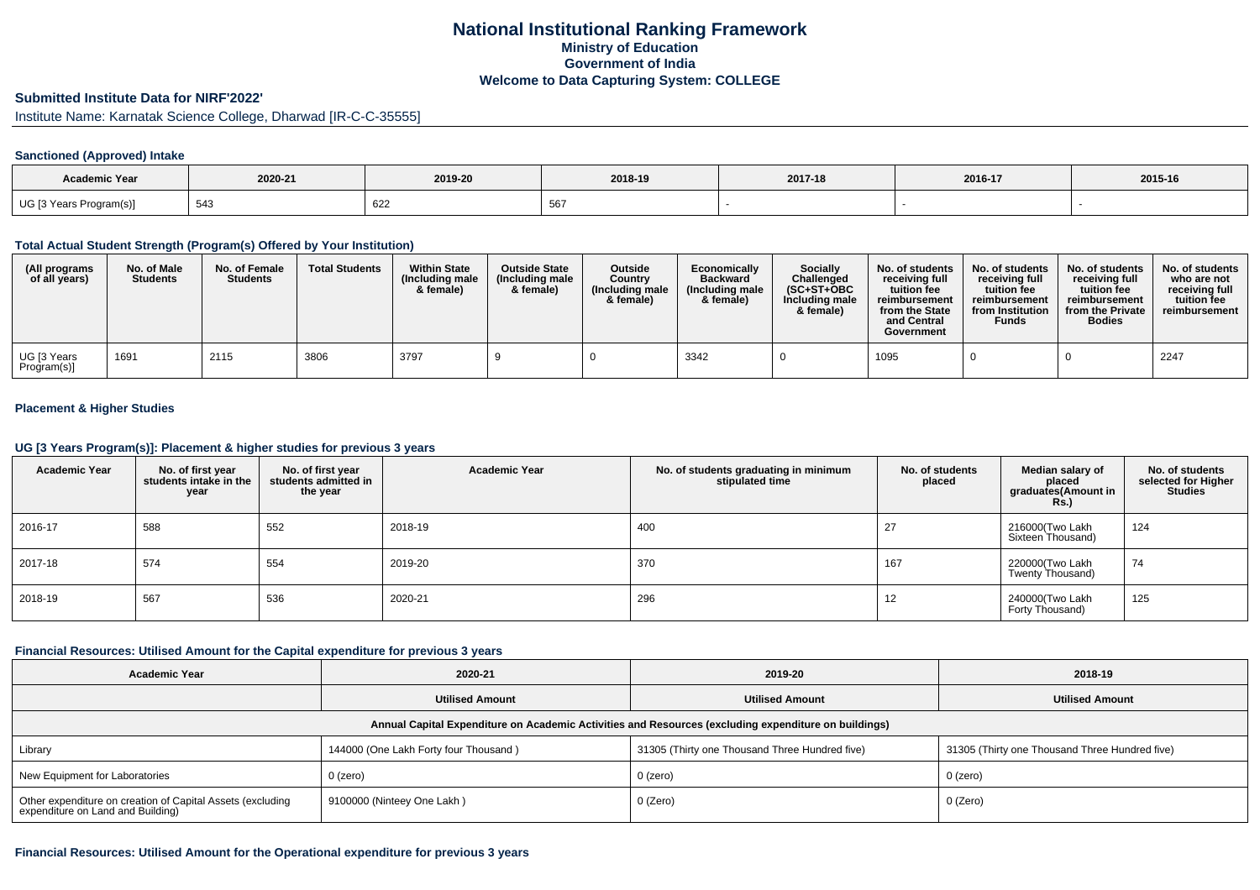# **National Institutional Ranking FrameworkMinistry of Education Government of IndiaWelcome to Data Capturing System: COLLEGE**

### **Submitted Institute Data for NIRF'2022'**

Institute Name: Karnatak Science College, Dharwad [IR-C-C-35555]

#### **Sanctioned (Approved) Intake**

| <b>Academic Year</b>    |         |         |         |         |         |         |
|-------------------------|---------|---------|---------|---------|---------|---------|
|                         | 2020-21 | 2019-20 | 2018-19 | 2017-18 | 2016-17 | 2015-16 |
| UG [3 Years Program(s)] | 543     | 622     | ັບບ     |         |         |         |

### **Total Actual Student Strength (Program(s) Offered by Your Institution)**

| (All programs<br>of all years) | No. of Male<br><b>Students</b> | No. of Female<br><b>Students</b> | <b>Total Students</b> | <b>Within State</b><br>(Including male<br>& female) | <b>Outside State</b><br>(Including male<br>& female) | <b>Outside</b><br>Country<br>(Including male<br>& female) | Economically<br><b>Backward</b><br>(Including male<br>& female) | <b>Socially</b><br>Challenged<br>$(SC+ST+OBC)$<br>Including male<br>& female) | No. of students<br>receiving full<br>tuition fee<br>reimbursement<br>from the State<br>and Central<br>Government | No. of students<br>receiving full<br>tuition fee<br>reimbursement<br>from Institution<br>Funds | No. of students<br>receiving full<br>tuition fee<br>reimbursement<br>from the Private<br><b>Bodies</b> | No. of students<br>who are not<br>receiving full<br>tuition fee<br>reimbursement |
|--------------------------------|--------------------------------|----------------------------------|-----------------------|-----------------------------------------------------|------------------------------------------------------|-----------------------------------------------------------|-----------------------------------------------------------------|-------------------------------------------------------------------------------|------------------------------------------------------------------------------------------------------------------|------------------------------------------------------------------------------------------------|--------------------------------------------------------------------------------------------------------|----------------------------------------------------------------------------------|
| UG [3 Years<br>Program(s)]     | 1691                           | 2115                             | 3806                  | 3797                                                |                                                      |                                                           | 3342                                                            |                                                                               | 1095                                                                                                             |                                                                                                |                                                                                                        | 2247                                                                             |

## **Placement & Higher Studies**

### **UG [3 Years Program(s)]: Placement & higher studies for previous 3 years**

| <b>Academic Year</b> | No. of first year<br>students intake in the<br>year | No. of first year<br>students admitted in<br>the year | <b>Academic Year</b> | No. of students graduating in minimum<br>stipulated time | No. of students<br>placed | Median salary of<br>placed<br>graduates(Amount in<br><b>Rs.)</b> | No. of students<br>selected for Higher<br><b>Studies</b> |
|----------------------|-----------------------------------------------------|-------------------------------------------------------|----------------------|----------------------------------------------------------|---------------------------|------------------------------------------------------------------|----------------------------------------------------------|
| 2016-17              | 588                                                 | 552                                                   | 2018-19              | 400                                                      | 27                        | 216000(Two Lakh<br>Sixteen Thousand)                             | 124                                                      |
| 2017-18              | 574                                                 | 554                                                   | 2019-20              | 370                                                      | 167                       | 220000(Two Lakh<br>Twenty Thousand)                              | 74                                                       |
| 2018-19              | 567                                                 | 536                                                   | 2020-21              | 296                                                      | 12                        | 240000(Two Lakh<br>Forty Thousand)                               | 125                                                      |

#### **Financial Resources: Utilised Amount for the Capital expenditure for previous 3 years**

| <b>Academic Year</b>                                                                                 | 2020-21                               | 2019-20                                        | 2018-19                                        |  |  |  |  |  |  |
|------------------------------------------------------------------------------------------------------|---------------------------------------|------------------------------------------------|------------------------------------------------|--|--|--|--|--|--|
|                                                                                                      | <b>Utilised Amount</b>                | <b>Utilised Amount</b>                         | <b>Utilised Amount</b>                         |  |  |  |  |  |  |
| Annual Capital Expenditure on Academic Activities and Resources (excluding expenditure on buildings) |                                       |                                                |                                                |  |  |  |  |  |  |
| Library                                                                                              | 144000 (One Lakh Forty four Thousand) | 31305 (Thirty one Thousand Three Hundred five) | 31305 (Thirty one Thousand Three Hundred five) |  |  |  |  |  |  |
| New Equipment for Laboratories                                                                       | $0$ (zero)                            | 0 (zero)                                       | $0$ (zero)                                     |  |  |  |  |  |  |
| Other expenditure on creation of Capital Assets (excluding<br>expenditure on Land and Building)      | 9100000 (Ninteey One Lakh)            | 0 (Zero)                                       | 0 (Zero)                                       |  |  |  |  |  |  |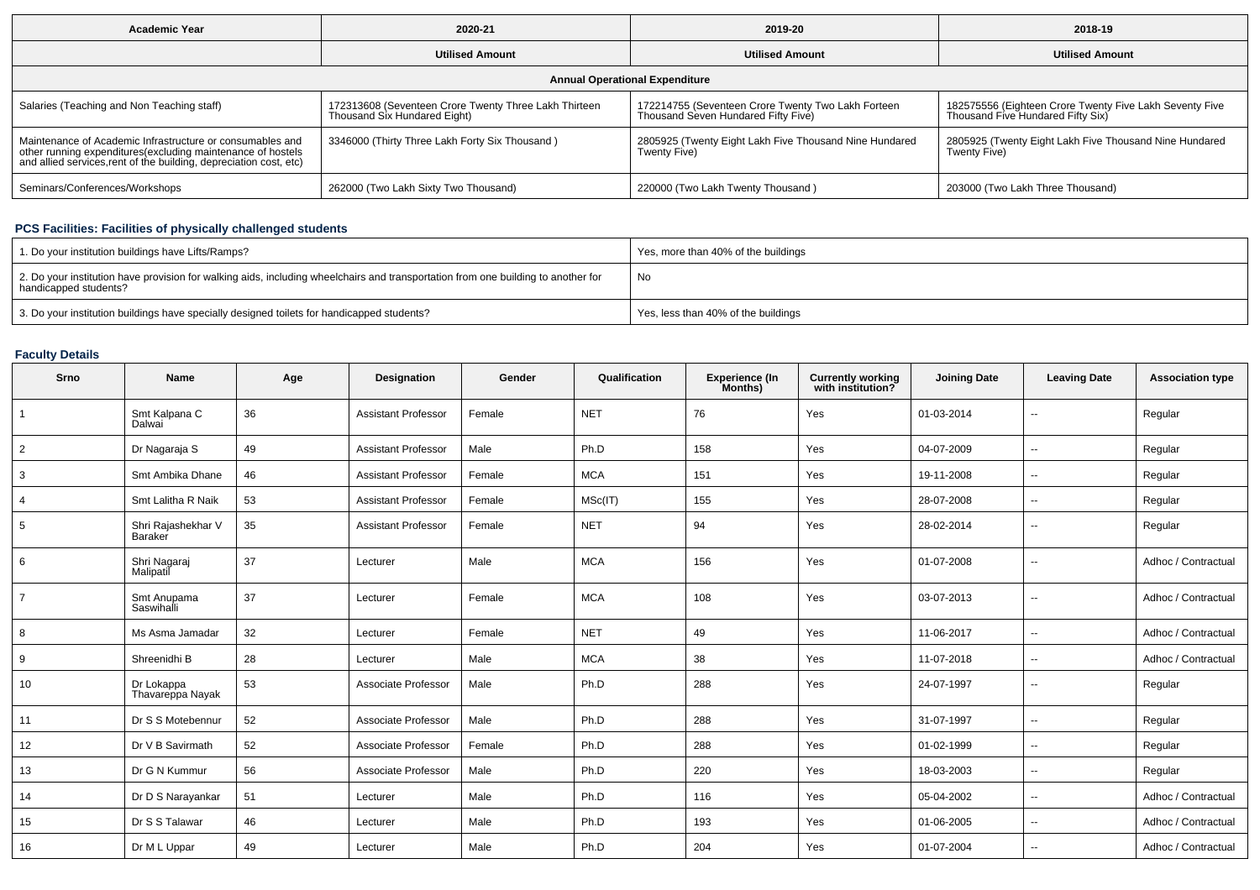| <b>Academic Year</b>                                                                                                                                                                           | 2020-21                                                                               | 2019-20                                                                                   | 2018-19                                                                                      |  |  |  |  |  |  |
|------------------------------------------------------------------------------------------------------------------------------------------------------------------------------------------------|---------------------------------------------------------------------------------------|-------------------------------------------------------------------------------------------|----------------------------------------------------------------------------------------------|--|--|--|--|--|--|
|                                                                                                                                                                                                | <b>Utilised Amount</b>                                                                | <b>Utilised Amount</b>                                                                    | <b>Utilised Amount</b>                                                                       |  |  |  |  |  |  |
| <b>Annual Operational Expenditure</b>                                                                                                                                                          |                                                                                       |                                                                                           |                                                                                              |  |  |  |  |  |  |
| Salaries (Teaching and Non Teaching staff)                                                                                                                                                     | 172313608 (Seventeen Crore Twenty Three Lakh Thirteen<br>Thousand Six Hundared Eight) | 172214755 (Seventeen Crore Twenty Two Lakh Forteen<br>Thousand Seven Hundared Fifty Five) | 182575556 (Eighteen Crore Twenty Five Lakh Seventy Five<br>Thousand Five Hundared Fifty Six) |  |  |  |  |  |  |
| Maintenance of Academic Infrastructure or consumables and<br>other running expenditures(excluding maintenance of hostels<br>and allied services, rent of the building, depreciation cost, etc) | 3346000 (Thirty Three Lakh Forty Six Thousand)                                        | 2805925 (Twenty Eight Lakh Five Thousand Nine Hundared<br>Twenty Five)                    | 2805925 (Twenty Eight Lakh Five Thousand Nine Hundared<br>Twenty Five)                       |  |  |  |  |  |  |
| Seminars/Conferences/Workshops                                                                                                                                                                 | 262000 (Two Lakh Sixty Two Thousand)                                                  | 220000 (Two Lakh Twenty Thousand)                                                         | 203000 (Two Lakh Three Thousand)                                                             |  |  |  |  |  |  |

# **PCS Facilities: Facilities of physically challenged students**

| 1. Do your institution buildings have Lifts/Ramps?                                                                                                         | Yes, more than 40% of the buildings |
|------------------------------------------------------------------------------------------------------------------------------------------------------------|-------------------------------------|
| 2. Do your institution have provision for walking aids, including wheelchairs and transportation from one building to another for<br>handicapped students? | No                                  |
| 3. Do your institution buildings have specially designed toilets for handicapped students?                                                                 | Yes, less than 40% of the buildings |

# **Faculty Details**

| Srno           | <b>Name</b>                    | Age | Designation                | Gender | Qualification | <b>Experience (In</b><br>Months) | <b>Currently working</b><br>with institution? | <b>Joining Date</b> | <b>Leaving Date</b>      | <b>Association type</b> |
|----------------|--------------------------------|-----|----------------------------|--------|---------------|----------------------------------|-----------------------------------------------|---------------------|--------------------------|-------------------------|
|                | Smt Kalpana C<br>Dalwai        | 36  | <b>Assistant Professor</b> | Female | <b>NET</b>    | 76                               | Yes                                           | 01-03-2014          | $\overline{\phantom{a}}$ | Regular                 |
| $\overline{2}$ | Dr Nagaraja S                  | 49  | <b>Assistant Professor</b> | Male   | Ph.D          | 158                              | Yes                                           | 04-07-2009          | $\overline{\phantom{a}}$ | Regular                 |
| 3              | Smt Ambika Dhane               | 46  | <b>Assistant Professor</b> | Female | <b>MCA</b>    | 151                              | Yes                                           | 19-11-2008          | $\overline{\phantom{a}}$ | Regular                 |
| $\overline{4}$ | Smt Lalitha R Naik             | 53  | <b>Assistant Professor</b> | Female | MSc(IT)       | 155                              | Yes                                           | 28-07-2008          | $\overline{\phantom{a}}$ | Regular                 |
| 5              | Shri Rajashekhar V<br>Baraker  | 35  | <b>Assistant Professor</b> | Female | <b>NET</b>    | 94                               | Yes                                           | 28-02-2014          | $\overline{\phantom{a}}$ | Regular                 |
| 6              | Shri Nagaraj<br>Malipatil      | 37  | Lecturer                   | Male   | <b>MCA</b>    | 156                              | Yes                                           | 01-07-2008          | $\overline{\phantom{a}}$ | Adhoc / Contractual     |
| $\overline{7}$ | Smt Anupama<br>Saswihalli      | 37  | Lecturer                   | Female | <b>MCA</b>    | 108                              | Yes                                           | 03-07-2013          | $\overline{\phantom{a}}$ | Adhoc / Contractual     |
| 8              | Ms Asma Jamadar                | 32  | Lecturer                   | Female | <b>NET</b>    | 49                               | Yes                                           | 11-06-2017          | $\overline{\phantom{a}}$ | Adhoc / Contractual     |
| 9              | Shreenidhi B                   | 28  | Lecturer                   | Male   | <b>MCA</b>    | 38                               | Yes                                           | 11-07-2018          | $\overline{\phantom{m}}$ | Adhoc / Contractual     |
| 10             | Dr Lokappa<br>Thavareppa Nayak | 53  | Associate Professor        | Male   | Ph.D          | 288                              | Yes                                           | 24-07-1997          | $\overline{\phantom{a}}$ | Regular                 |
| 11             | Dr S S Motebennur              | 52  | Associate Professor        | Male   | Ph.D          | 288                              | Yes                                           | 31-07-1997          | $\overline{\phantom{a}}$ | Regular                 |
| 12             | Dr V B Savirmath               | 52  | Associate Professor        | Female | Ph.D          | 288                              | Yes                                           | 01-02-1999          | $\overline{\phantom{a}}$ | Regular                 |
| 13             | Dr G N Kummur                  | 56  | Associate Professor        | Male   | Ph.D          | 220                              | Yes                                           | 18-03-2003          | $\overline{\phantom{a}}$ | Regular                 |
| 14             | Dr D S Narayankar              | 51  | Lecturer                   | Male   | Ph.D          | 116                              | Yes                                           | 05-04-2002          | $\overline{\phantom{a}}$ | Adhoc / Contractual     |
| 15             | Dr S S Talawar                 | 46  | Lecturer                   | Male   | Ph.D          | 193                              | Yes                                           | 01-06-2005          | $\overline{\phantom{a}}$ | Adhoc / Contractual     |
| 16             | Dr M L Uppar                   | 49  | Lecturer                   | Male   | Ph.D          | 204                              | Yes                                           | 01-07-2004          | $\overline{\phantom{a}}$ | Adhoc / Contractual     |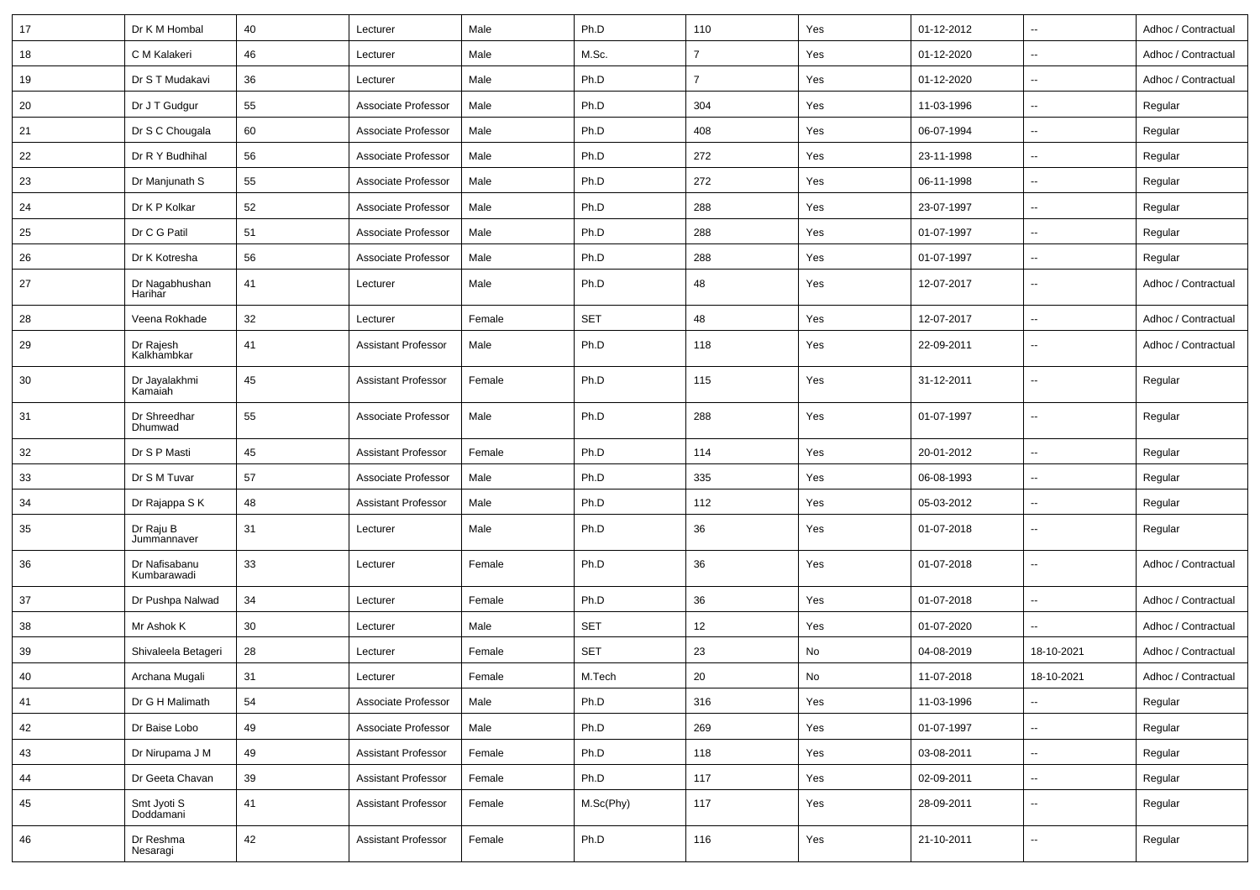| 17 | Dr K M Hombal                | 40 | Lecturer                   | Male   | Ph.D       | 110            | Yes | 01-12-2012 | $\overline{\phantom{a}}$ | Adhoc / Contractual |
|----|------------------------------|----|----------------------------|--------|------------|----------------|-----|------------|--------------------------|---------------------|
| 18 | C M Kalakeri                 | 46 | Lecturer                   | Male   | M.Sc.      | $\overline{7}$ | Yes | 01-12-2020 | $\sim$                   | Adhoc / Contractual |
| 19 | Dr S T Mudakavi              | 36 | Lecturer                   | Male   | Ph.D       | $\overline{7}$ | Yes | 01-12-2020 | $\sim$                   | Adhoc / Contractual |
| 20 | Dr J T Gudgur                | 55 | Associate Professor        | Male   | Ph.D       | 304            | Yes | 11-03-1996 | $\overline{\phantom{a}}$ | Regular             |
| 21 | Dr S C Chougala              | 60 | Associate Professor        | Male   | Ph.D       | 408            | Yes | 06-07-1994 | $\sim$                   | Regular             |
| 22 | Dr R Y Budhihal              | 56 | Associate Professor        | Male   | Ph.D       | 272            | Yes | 23-11-1998 | $\sim$                   | Regular             |
| 23 | Dr Manjunath S               | 55 | Associate Professor        | Male   | Ph.D       | 272            | Yes | 06-11-1998 | $\sim$                   | Regular             |
| 24 | Dr K P Kolkar                | 52 | Associate Professor        | Male   | Ph.D       | 288            | Yes | 23-07-1997 | $\sim$                   | Regular             |
| 25 | Dr C G Patil                 | 51 | Associate Professor        | Male   | Ph.D       | 288            | Yes | 01-07-1997 | $\sim$                   | Regular             |
| 26 | Dr K Kotresha                | 56 | Associate Professor        | Male   | Ph.D       | 288            | Yes | 01-07-1997 | $\overline{\phantom{a}}$ | Regular             |
| 27 | Dr Nagabhushan<br>Harihar    | 41 | Lecturer                   | Male   | Ph.D       | 48             | Yes | 12-07-2017 | $\sim$                   | Adhoc / Contractual |
| 28 | Veena Rokhade                | 32 | Lecturer                   | Female | <b>SET</b> | 48             | Yes | 12-07-2017 | $\sim$                   | Adhoc / Contractual |
| 29 | Dr Rajesh<br>Kalkhambkar     | 41 | <b>Assistant Professor</b> | Male   | Ph.D       | 118            | Yes | 22-09-2011 | $\sim$                   | Adhoc / Contractual |
| 30 | Dr Jayalakhmi<br>Kamaiah     | 45 | <b>Assistant Professor</b> | Female | Ph.D       | 115            | Yes | 31-12-2011 | $\sim$                   | Regular             |
| 31 | Dr Shreedhar<br>Dhumwad      | 55 | Associate Professor        | Male   | Ph.D       | 288            | Yes | 01-07-1997 | $\sim$                   | Regular             |
| 32 | Dr S P Masti                 | 45 | <b>Assistant Professor</b> | Female | Ph.D       | 114            | Yes | 20-01-2012 | $\overline{\phantom{a}}$ | Regular             |
| 33 | Dr S M Tuvar                 | 57 | Associate Professor        | Male   | Ph.D       | 335            | Yes | 06-08-1993 | $\overline{\phantom{a}}$ | Regular             |
| 34 | Dr Rajappa S K               | 48 | <b>Assistant Professor</b> | Male   | Ph.D       | 112            | Yes | 05-03-2012 | $\sim$                   | Regular             |
| 35 | Dr Raju B<br>Jummannaver     | 31 | Lecturer                   | Male   | Ph.D       | 36             | Yes | 01-07-2018 | $\overline{\phantom{a}}$ | Regular             |
| 36 | Dr Nafisabanu<br>Kumbarawadi | 33 | Lecturer                   | Female | Ph.D       | 36             | Yes | 01-07-2018 | $\overline{\phantom{a}}$ | Adhoc / Contractual |
| 37 | Dr Pushpa Nalwad             | 34 | Lecturer                   | Female | Ph.D       | 36             | Yes | 01-07-2018 | $\overline{\phantom{a}}$ | Adhoc / Contractual |
| 38 | Mr Ashok K                   | 30 | Lecturer                   | Male   | <b>SET</b> | 12             | Yes | 01-07-2020 | $\overline{\phantom{a}}$ | Adhoc / Contractual |
| 39 | Shivaleela Betageri          | 28 | Lecturer                   | Female | <b>SET</b> | 23             | No  | 04-08-2019 | 18-10-2021               | Adhoc / Contractual |
| 40 | Archana Mugali               | 31 | Lecturer                   | Female | M.Tech     | 20             | No  | 11-07-2018 | 18-10-2021               | Adhoc / Contractual |
| 41 | Dr G H Malimath              | 54 | Associate Professor        | Male   | Ph.D       | 316            | Yes | 11-03-1996 | $\sim$                   | Regular             |
| 42 | Dr Baise Lobo                | 49 | Associate Professor        | Male   | Ph.D       | 269            | Yes | 01-07-1997 | $\sim$                   | Regular             |
| 43 | Dr Nirupama J M              | 49 | <b>Assistant Professor</b> | Female | Ph.D       | 118            | Yes | 03-08-2011 | $\sim$                   | Regular             |
| 44 | Dr Geeta Chavan              | 39 | <b>Assistant Professor</b> | Female | Ph.D       | 117            | Yes | 02-09-2011 | $\sim$                   | Regular             |
| 45 | Smt Jyoti S<br>Doddamani     | 41 | <b>Assistant Professor</b> | Female | M.Sc(Phy)  | 117            | Yes | 28-09-2011 | $\sim$                   | Regular             |
| 46 | Dr Reshma<br>Nesaragi        | 42 | <b>Assistant Professor</b> | Female | Ph.D       | 116            | Yes | 21-10-2011 | $\sim$                   | Regular             |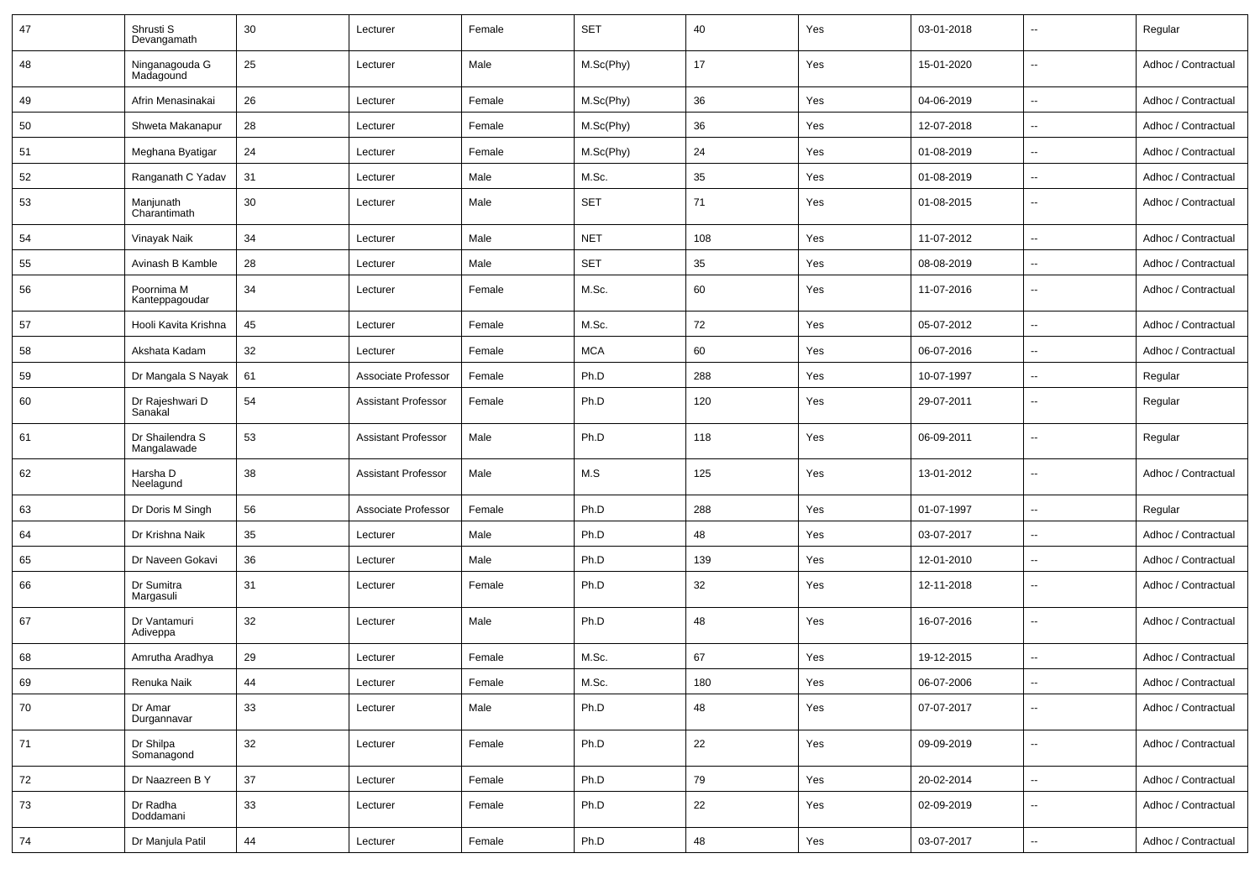| 47 | Shrusti S<br>Devangamath       | 30 | Lecturer                   | Female | <b>SET</b> | 40  | Yes | 03-01-2018 | $\sim$                   | Regular             |
|----|--------------------------------|----|----------------------------|--------|------------|-----|-----|------------|--------------------------|---------------------|
| 48 | Ninganagouda G<br>Madagound    | 25 | Lecturer                   | Male   | M.Sc(Phy)  | 17  | Yes | 15-01-2020 | $\sim$                   | Adhoc / Contractual |
| 49 | Afrin Menasinakai              | 26 | Lecturer                   | Female | M.Sc(Phy)  | 36  | Yes | 04-06-2019 | $\sim$                   | Adhoc / Contractual |
| 50 | Shweta Makanapur               | 28 | Lecturer                   | Female | M.Sc(Phy)  | 36  | Yes | 12-07-2018 | $\overline{\phantom{a}}$ | Adhoc / Contractual |
| 51 | Meghana Byatigar               | 24 | Lecturer                   | Female | M.Sc(Phy)  | 24  | Yes | 01-08-2019 | $\sim$                   | Adhoc / Contractual |
| 52 | Ranganath C Yadav              | 31 | Lecturer                   | Male   | M.Sc.      | 35  | Yes | 01-08-2019 | $\sim$                   | Adhoc / Contractual |
| 53 | Manjunath<br>Charantimath      | 30 | Lecturer                   | Male   | <b>SET</b> | 71  | Yes | 01-08-2015 | $\sim$                   | Adhoc / Contractual |
| 54 | Vinayak Naik                   | 34 | Lecturer                   | Male   | <b>NET</b> | 108 | Yes | 11-07-2012 | $\ddot{\phantom{a}}$     | Adhoc / Contractual |
| 55 | Avinash B Kamble               | 28 | Lecturer                   | Male   | <b>SET</b> | 35  | Yes | 08-08-2019 | $\sim$                   | Adhoc / Contractual |
| 56 | Poornima M<br>Kanteppagoudar   | 34 | Lecturer                   | Female | M.Sc.      | 60  | Yes | 11-07-2016 | $\overline{\phantom{a}}$ | Adhoc / Contractual |
| 57 | Hooli Kavita Krishna           | 45 | Lecturer                   | Female | M.Sc.      | 72  | Yes | 05-07-2012 | $\sim$                   | Adhoc / Contractual |
| 58 | Akshata Kadam                  | 32 | Lecturer                   | Female | <b>MCA</b> | 60  | Yes | 06-07-2016 | $\overline{\phantom{a}}$ | Adhoc / Contractual |
| 59 | Dr Mangala S Nayak             | 61 | Associate Professor        | Female | Ph.D       | 288 | Yes | 10-07-1997 | $\sim$                   | Regular             |
| 60 | Dr Rajeshwari D<br>Sanakal     | 54 | <b>Assistant Professor</b> | Female | Ph.D       | 120 | Yes | 29-07-2011 | $\overline{\phantom{a}}$ | Regular             |
| 61 | Dr Shailendra S<br>Mangalawade | 53 | <b>Assistant Professor</b> | Male   | Ph.D       | 118 | Yes | 06-09-2011 | $\sim$                   | Regular             |
| 62 | Harsha D<br>Neelagund          | 38 | <b>Assistant Professor</b> | Male   | M.S        | 125 | Yes | 13-01-2012 | $\sim$                   | Adhoc / Contractual |
| 63 | Dr Doris M Singh               | 56 | Associate Professor        | Female | Ph.D       | 288 | Yes | 01-07-1997 | $\sim$                   | Regular             |
| 64 | Dr Krishna Naik                | 35 | Lecturer                   | Male   | Ph.D       | 48  | Yes | 03-07-2017 | $\overline{\phantom{a}}$ | Adhoc / Contractual |
| 65 | Dr Naveen Gokavi               | 36 | Lecturer                   | Male   | Ph.D       | 139 | Yes | 12-01-2010 | $\sim$                   | Adhoc / Contractual |
| 66 | Dr Sumitra<br>Margasuli        | 31 | Lecturer                   | Female | Ph.D       | 32  | Yes | 12-11-2018 | $\sim$                   | Adhoc / Contractual |
| 67 | Dr Vantamuri<br>Adiveppa       | 32 | Lecturer                   | Male   | Ph.D       | 48  | Yes | 16-07-2016 | $\sim$                   | Adhoc / Contractual |
| 68 | Amrutha Aradhya                | 29 | Lecturer                   | Female | M.Sc.      | 67  | Yes | 19-12-2015 | $\sim$                   | Adhoc / Contractual |
| 69 | Renuka Naik                    | 44 | Lecturer                   | Female | M.Sc.      | 180 | Yes | 06-07-2006 | $\sim$                   | Adhoc / Contractual |
| 70 | Dr Amar<br>Durgannavar         | 33 | Lecturer                   | Male   | Ph.D       | 48  | Yes | 07-07-2017 | $\sim$                   | Adhoc / Contractual |
| 71 | Dr Shilpa<br>Somanagond        | 32 | Lecturer                   | Female | Ph.D       | 22  | Yes | 09-09-2019 | $\sim$                   | Adhoc / Contractual |
| 72 | Dr Naazreen B Y                | 37 | Lecturer                   | Female | Ph.D       | 79  | Yes | 20-02-2014 | $\sim$                   | Adhoc / Contractual |
| 73 | Dr Radha<br>Doddamani          | 33 | Lecturer                   | Female | Ph.D       | 22  | Yes | 02-09-2019 | $\sim$                   | Adhoc / Contractual |
| 74 | Dr Manjula Patil               | 44 | Lecturer                   | Female | Ph.D       | 48  | Yes | 03-07-2017 | $\sim$                   | Adhoc / Contractual |